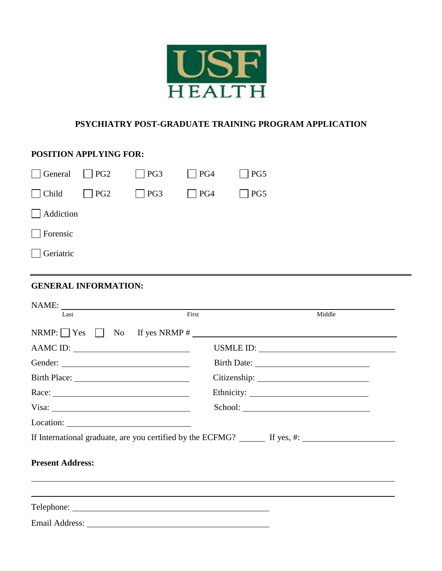

#### **PSYCHIATRY POST-GRADUATE TRAINING PROGRAM APPLICATION**

# **POSITION APPLYING FOR:** General  $\Box$  PG2  $\Box$  PG3  $\Box$  PG4  $\Box$  PG5  $\Box$  Child  $\Box$  PG2  $\Box$  PG3  $\Box$  PG4  $\Box$  PG5 Addiction Forensic Geriatric **GENERAL INFORMATION:**  $NAME:$  Last Last First Middle  $NRMP: \Box Y$ es  $\Box$  No If yes NRMP # AAMC ID: USMLE ID: Gender: Birth Date: Birth Place: Citizenship: Citizenship: Race: Ethnicity: Ethnicity: Visa: School: Location: If International graduate, are you certified by the ECFMG?  $\qquad \qquad$  If yes, #: **Present Address:** Telephone: Email Address: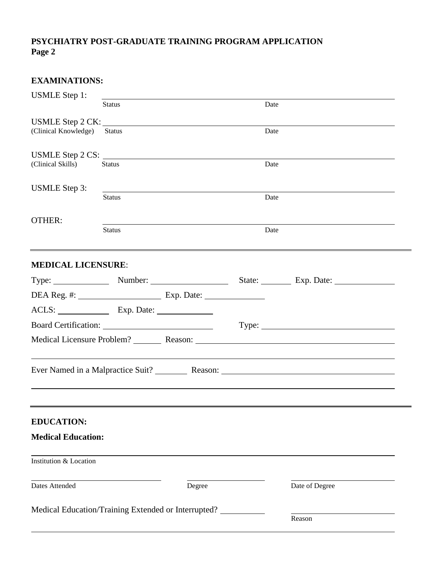## **PSYCHIATRY POST-GRADUATE TRAINING PROGRAM APPLICATION Page 2**

| <b>EXAMINATIONS:</b>                     |               |                                                     |      |                                                   |  |  |  |
|------------------------------------------|---------------|-----------------------------------------------------|------|---------------------------------------------------|--|--|--|
| <b>USMLE</b> Step 1:                     |               |                                                     |      |                                                   |  |  |  |
|                                          | <b>Status</b> |                                                     |      | Date                                              |  |  |  |
| USMLE Step 2 CK:<br>(Clinical Knowledge) | <b>Status</b> |                                                     |      |                                                   |  |  |  |
|                                          |               |                                                     | Date |                                                   |  |  |  |
|                                          |               | USMLE Step 2 CS:                                    |      |                                                   |  |  |  |
| (Clinical Skills)                        | <b>Status</b> |                                                     |      | Date                                              |  |  |  |
| <b>USMLE</b> Step 3:                     |               |                                                     |      |                                                   |  |  |  |
|                                          | <b>Status</b> |                                                     |      | Date                                              |  |  |  |
| <b>OTHER:</b>                            |               |                                                     |      |                                                   |  |  |  |
|                                          | <b>Status</b> |                                                     | Date |                                                   |  |  |  |
|                                          |               |                                                     |      |                                                   |  |  |  |
| <b>MEDICAL LICENSURE:</b>                |               |                                                     |      |                                                   |  |  |  |
|                                          |               | Type: <u>Number: Number:</u>                        |      | State: Exp. Date:                                 |  |  |  |
|                                          |               |                                                     |      |                                                   |  |  |  |
| ACLS: Exp. Date:                         |               |                                                     |      |                                                   |  |  |  |
|                                          |               |                                                     |      | Type:                                             |  |  |  |
|                                          |               |                                                     |      |                                                   |  |  |  |
|                                          |               |                                                     |      | Ever Named in a Malpractice Suit? Reason: Reason: |  |  |  |
| <b>EDUCATION:</b>                        |               |                                                     |      |                                                   |  |  |  |
| <b>Medical Education:</b>                |               |                                                     |      |                                                   |  |  |  |
| Institution & Location                   |               |                                                     |      |                                                   |  |  |  |
| <b>Dates Attended</b>                    |               | Degree                                              |      | Date of Degree                                    |  |  |  |
|                                          |               | Medical Education/Training Extended or Interrupted? |      |                                                   |  |  |  |
|                                          |               |                                                     |      | Reason                                            |  |  |  |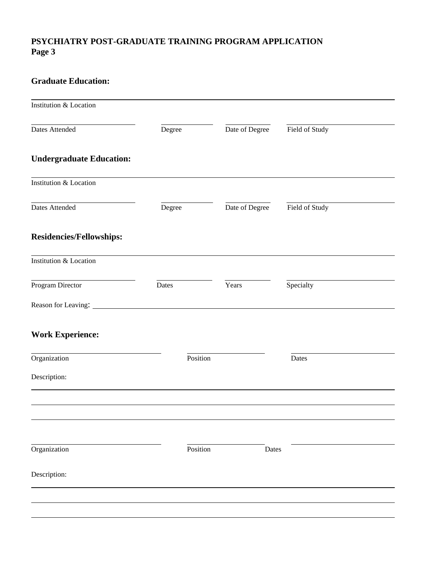# **PSYCHIATRY POST-GRADUATE TRAINING PROGRAM APPLICATION Page 3**

## **Graduate Education:**

| Institution & Location                                                                                                                                                                                                         |        |          |                |                |
|--------------------------------------------------------------------------------------------------------------------------------------------------------------------------------------------------------------------------------|--------|----------|----------------|----------------|
| Dates Attended                                                                                                                                                                                                                 | Degree |          | Date of Degree | Field of Study |
| <b>Undergraduate Education:</b>                                                                                                                                                                                                |        |          |                |                |
| Institution & Location                                                                                                                                                                                                         |        |          |                |                |
| Dates Attended                                                                                                                                                                                                                 | Degree |          | Date of Degree | Field of Study |
| <b>Residencies/Fellowships:</b>                                                                                                                                                                                                |        |          |                |                |
| Institution & Location                                                                                                                                                                                                         |        |          |                |                |
| Program Director                                                                                                                                                                                                               | Dates  |          | Years          | Specialty      |
| Reason for Leaving: University of Leaving Communications of the Communication of the Communication of the Communication of the Communication of the Communication of the Communication of the Communication of the Communicati |        |          |                |                |
| <b>Work Experience:</b>                                                                                                                                                                                                        |        |          |                |                |
| Organization                                                                                                                                                                                                                   |        | Position |                | Dates          |
| Description:                                                                                                                                                                                                                   |        |          |                |                |
|                                                                                                                                                                                                                                |        |          |                |                |
|                                                                                                                                                                                                                                |        |          |                |                |
|                                                                                                                                                                                                                                |        |          |                |                |
| Organization                                                                                                                                                                                                                   |        | Position |                | Dates          |
| Description:                                                                                                                                                                                                                   |        |          |                |                |
|                                                                                                                                                                                                                                |        |          |                |                |
|                                                                                                                                                                                                                                |        |          |                |                |